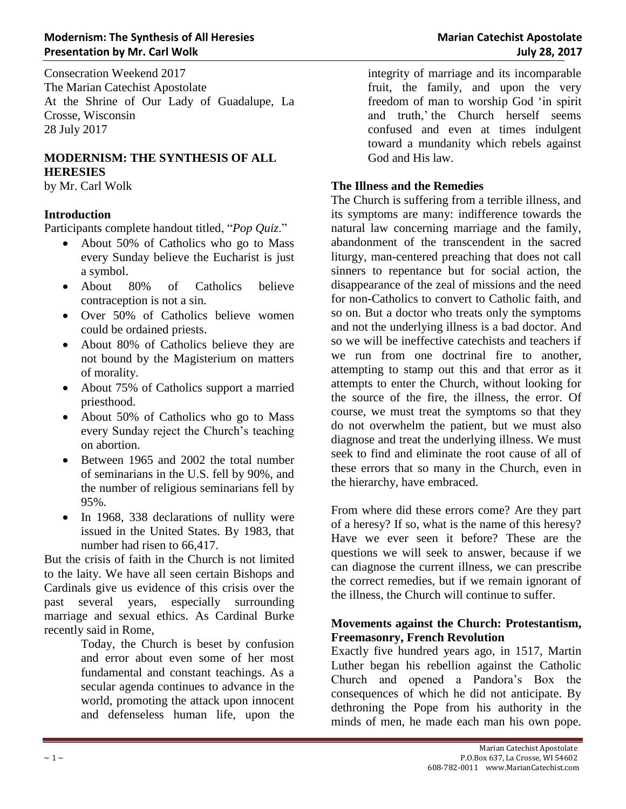Consecration Weekend 2017 The Marian Catechist Apostolate At the Shrine of Our Lady of Guadalupe, La Crosse, Wisconsin 28 July 2017

# **MODERNISM: THE SYNTHESIS OF ALL HERESIES**

by Mr. Carl Wolk

# **Introduction**

Participants complete handout titled, "*Pop Quiz*."

- About 50% of Catholics who go to Mass every Sunday believe the Eucharist is just a symbol.
- About 80% of Catholics believe contraception is not a sin.
- Over 50% of Catholics believe women could be ordained priests.
- About 80% of Catholics believe they are not bound by the Magisterium on matters of morality.
- About 75% of Catholics support a married priesthood.
- About 50% of Catholics who go to Mass every Sunday reject the Church's teaching on abortion.
- Between 1965 and 2002 the total number of seminarians in the U.S. fell by 90%, and the number of religious seminarians fell by 95%.
- In 1968, 338 declarations of nullity were issued in the United States. By 1983, that number had risen to 66,417.

But the crisis of faith in the Church is not limited to the laity. We have all seen certain Bishops and Cardinals give us evidence of this crisis over the past several years, especially surrounding marriage and sexual ethics. As Cardinal Burke recently said in Rome,

Today, the Church is beset by confusion and error about even some of her most fundamental and constant teachings. As a secular agenda continues to advance in the world, promoting the attack upon innocent and defenseless human life, upon the

integrity of marriage and its incomparable fruit, the family, and upon the very freedom of man to worship God 'in spirit and truth,' the Church herself seems confused and even at times indulgent toward a mundanity which rebels against God and His law.

## **The Illness and the Remedies**

The Church is suffering from a terrible illness, and its symptoms are many: indifference towards the natural law concerning marriage and the family, abandonment of the transcendent in the sacred liturgy, man-centered preaching that does not call sinners to repentance but for social action, the disappearance of the zeal of missions and the need for non-Catholics to convert to Catholic faith, and so on. But a doctor who treats only the symptoms and not the underlying illness is a bad doctor. And so we will be ineffective catechists and teachers if we run from one doctrinal fire to another, attempting to stamp out this and that error as it attempts to enter the Church, without looking for the source of the fire, the illness, the error. Of course, we must treat the symptoms so that they do not overwhelm the patient, but we must also diagnose and treat the underlying illness. We must seek to find and eliminate the root cause of all of these errors that so many in the Church, even in the hierarchy, have embraced.

From where did these errors come? Are they part of a heresy? If so, what is the name of this heresy? Have we ever seen it before? These are the questions we will seek to answer, because if we can diagnose the current illness, we can prescribe the correct remedies, but if we remain ignorant of the illness, the Church will continue to suffer.

#### **Movements against the Church: Protestantism, Freemasonry, French Revolution**

Exactly five hundred years ago, in 1517, Martin Luther began his rebellion against the Catholic Church and opened a Pandora's Box the consequences of which he did not anticipate. By dethroning the Pope from his authority in the minds of men, he made each man his own pope.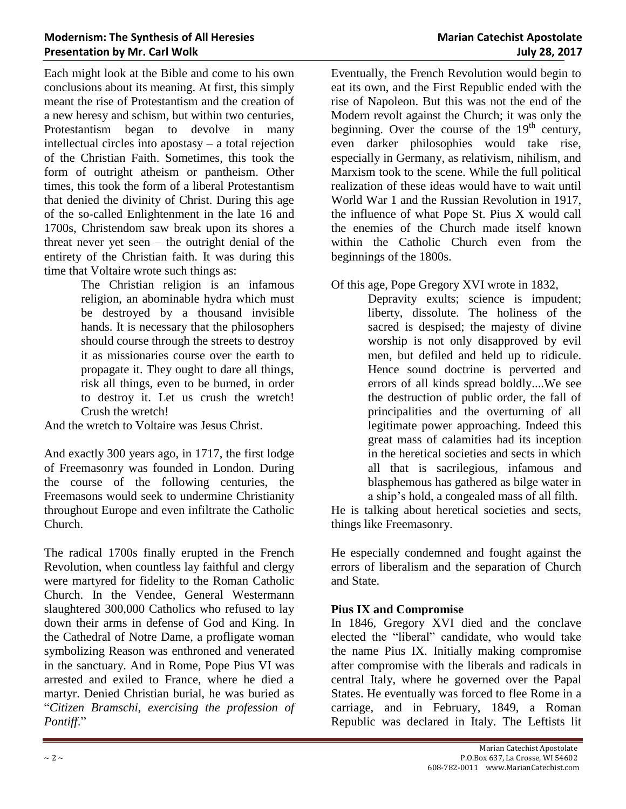Each might look at the Bible and come to his own conclusions about its meaning. At first, this simply meant the rise of Protestantism and the creation of a new heresy and schism, but within two centuries, Protestantism began to devolve in many intellectual circles into apostasy – a total rejection of the Christian Faith. Sometimes, this took the form of outright atheism or pantheism. Other times, this took the form of a liberal Protestantism that denied the divinity of Christ. During this age of the so-called Enlightenment in the late 16 and 1700s, Christendom saw break upon its shores a threat never yet seen – the outright denial of the entirety of the Christian faith. It was during this time that Voltaire wrote such things as:

The Christian religion is an infamous religion, an abominable hydra which must be destroyed by a thousand invisible hands. It is necessary that the philosophers should course through the streets to destroy it as missionaries course over the earth to propagate it. They ought to dare all things, risk all things, even to be burned, in order to destroy it. Let us crush the wretch! Crush the wretch!

And the wretch to Voltaire was Jesus Christ.

And exactly 300 years ago, in 1717, the first lodge of Freemasonry was founded in London. During the course of the following centuries, the Freemasons would seek to undermine Christianity throughout Europe and even infiltrate the Catholic Church.

The radical 1700s finally erupted in the French Revolution, when countless lay faithful and clergy were martyred for fidelity to the Roman Catholic Church. In the Vendee, General Westermann slaughtered 300,000 Catholics who refused to lay down their arms in defense of God and King. In the Cathedral of Notre Dame, a profligate woman symbolizing Reason was enthroned and venerated in the sanctuary. And in Rome, Pope Pius VI was arrested and exiled to France, where he died a martyr. Denied Christian burial, he was buried as "*Citizen Bramschi, exercising the profession of Pontiff*."

Eventually, the French Revolution would begin to eat its own, and the First Republic ended with the rise of Napoleon. But this was not the end of the Modern revolt against the Church; it was only the beginning. Over the course of the  $19<sup>th</sup>$  century, even darker philosophies would take rise, especially in Germany, as relativism, nihilism, and Marxism took to the scene. While the full political realization of these ideas would have to wait until World War 1 and the Russian Revolution in 1917, the influence of what Pope St. Pius X would call the enemies of the Church made itself known within the Catholic Church even from the beginnings of the 1800s.

Of this age, Pope Gregory XVI wrote in 1832,

Depravity exults; science is impudent; liberty, dissolute. The holiness of the sacred is despised; the majesty of divine worship is not only disapproved by evil men, but defiled and held up to ridicule. Hence sound doctrine is perverted and errors of all kinds spread boldly....We see the destruction of public order, the fall of principalities and the overturning of all legitimate power approaching. Indeed this great mass of calamities had its inception in the heretical societies and sects in which all that is sacrilegious, infamous and blasphemous has gathered as bilge water in a ship's hold, a congealed mass of all filth.

He is talking about heretical societies and sects, things like Freemasonry.

He especially condemned and fought against the errors of liberalism and the separation of Church and State.

#### **Pius IX and Compromise**

In 1846, Gregory XVI died and the conclave elected the "liberal" candidate, who would take the name Pius IX. Initially making compromise after compromise with the liberals and radicals in central Italy, where he governed over the Papal States. He eventually was forced to flee Rome in a carriage, and in February, 1849, a Roman Republic was declared in Italy. The Leftists lit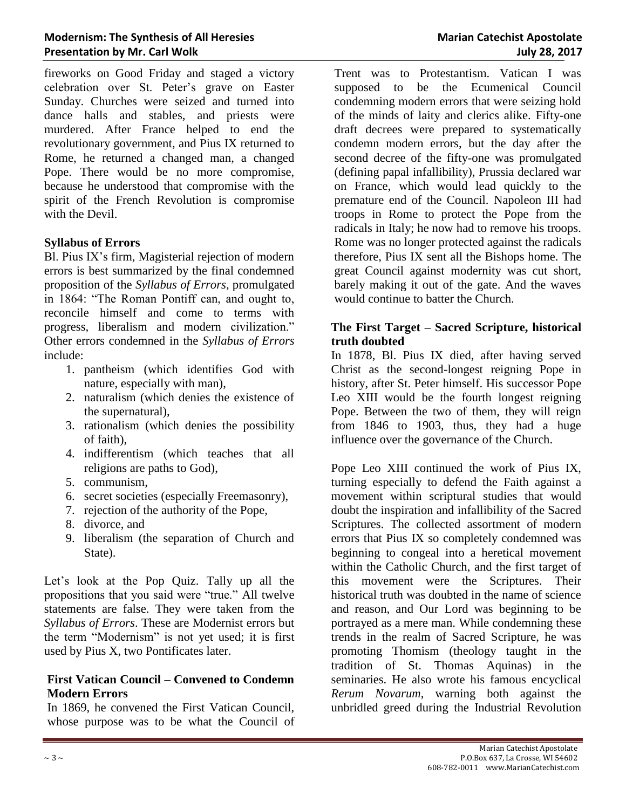fireworks on Good Friday and staged a victory celebration over St. Peter's grave on Easter Sunday. Churches were seized and turned into dance halls and stables, and priests were murdered. After France helped to end the revolutionary government, and Pius IX returned to Rome, he returned a changed man, a changed Pope. There would be no more compromise, because he understood that compromise with the spirit of the French Revolution is compromise with the Devil.

#### **Syllabus of Errors**

Bl. Pius IX's firm, Magisterial rejection of modern errors is best summarized by the final condemned proposition of the *Syllabus of Errors*, promulgated in 1864: "The Roman Pontiff can, and ought to, reconcile himself and come to terms with progress, liberalism and modern civilization." Other errors condemned in the *Syllabus of Errors* include:

- 1. pantheism (which identifies God with nature, especially with man),
- 2. naturalism (which denies the existence of the supernatural),
- 3. rationalism (which denies the possibility of faith),
- 4. indifferentism (which teaches that all religions are paths to God),
- 5. communism,
- 6. secret societies (especially Freemasonry),
- 7. rejection of the authority of the Pope,
- 8. divorce, and
- 9. liberalism (the separation of Church and State).

Let's look at the Pop Quiz. Tally up all the propositions that you said were "true." All twelve statements are false. They were taken from the *Syllabus of Errors*. These are Modernist errors but the term "Modernism" is not yet used; it is first used by Pius X, two Pontificates later.

# **First Vatican Council – Convened to Condemn Modern Errors**

In 1869, he convened the First Vatican Council, whose purpose was to be what the Council of Trent was to Protestantism. Vatican I was supposed to be the Ecumenical Council condemning modern errors that were seizing hold of the minds of laity and clerics alike. Fifty-one draft decrees were prepared to systematically condemn modern errors, but the day after the second decree of the fifty-one was promulgated (defining papal infallibility), Prussia declared war on France, which would lead quickly to the premature end of the Council. Napoleon III had troops in Rome to protect the Pope from the radicals in Italy; he now had to remove his troops. Rome was no longer protected against the radicals therefore, Pius IX sent all the Bishops home. The great Council against modernity was cut short, barely making it out of the gate. And the waves would continue to batter the Church.

## **The First Target – Sacred Scripture, historical truth doubted**

In 1878, Bl. Pius IX died, after having served Christ as the second-longest reigning Pope in history, after St. Peter himself. His successor Pope Leo XIII would be the fourth longest reigning Pope. Between the two of them, they will reign from 1846 to 1903, thus, they had a huge influence over the governance of the Church.

Pope Leo XIII continued the work of Pius IX, turning especially to defend the Faith against a movement within scriptural studies that would doubt the inspiration and infallibility of the Sacred Scriptures. The collected assortment of modern errors that Pius IX so completely condemned was beginning to congeal into a heretical movement within the Catholic Church, and the first target of this movement were the Scriptures. Their historical truth was doubted in the name of science and reason, and Our Lord was beginning to be portrayed as a mere man. While condemning these trends in the realm of Sacred Scripture, he was promoting Thomism (theology taught in the tradition of St. Thomas Aquinas) in the seminaries. He also wrote his famous encyclical *Rerum Novarum*, warning both against the unbridled greed during the Industrial Revolution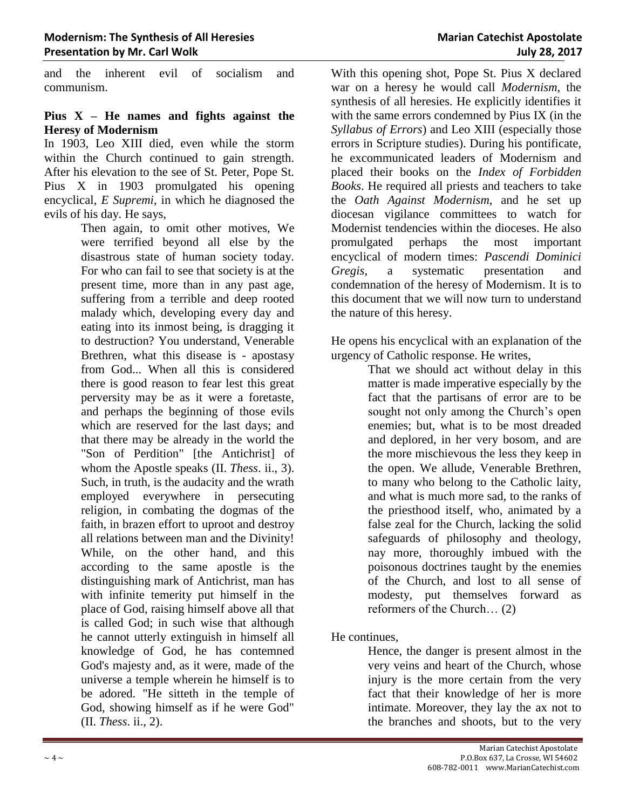and the inherent evil of socialism and communism.

#### **Pius X – He names and fights against the Heresy of Modernism**

In 1903, Leo XIII died, even while the storm within the Church continued to gain strength. After his elevation to the see of St. Peter, Pope St. Pius X in 1903 promulgated his opening encyclical, *E Supremi*, in which he diagnosed the evils of his day. He says,

Then again, to omit other motives, We were terrified beyond all else by the disastrous state of human society today. For who can fail to see that society is at the present time, more than in any past age, suffering from a terrible and deep rooted malady which, developing every day and eating into its inmost being, is dragging it to destruction? You understand, Venerable Brethren, what this disease is - apostasy from God... When all this is considered there is good reason to fear lest this great perversity may be as it were a foretaste, and perhaps the beginning of those evils which are reserved for the last days; and that there may be already in the world the "Son of Perdition" [the Antichrist] of whom the Apostle speaks (II. *Thess*. ii., 3). Such, in truth, is the audacity and the wrath employed everywhere in persecuting religion, in combating the dogmas of the faith, in brazen effort to uproot and destroy all relations between man and the Divinity! While, on the other hand, and this according to the same apostle is the distinguishing mark of Antichrist, man has with infinite temerity put himself in the place of God, raising himself above all that is called God; in such wise that although he cannot utterly extinguish in himself all knowledge of God, he has contemned God's majesty and, as it were, made of the universe a temple wherein he himself is to be adored. "He sitteth in the temple of God, showing himself as if he were God" (II. *Thess*. ii., 2).

With this opening shot, Pope St. Pius X declared war on a heresy he would call *Modernism*, the synthesis of all heresies. He explicitly identifies it with the same errors condemned by Pius IX (in the *Syllabus of Errors*) and Leo XIII (especially those errors in Scripture studies). During his pontificate, he excommunicated leaders of Modernism and placed their books on the *Index of Forbidden Books*. He required all priests and teachers to take the *Oath Against Modernism*, and he set up diocesan vigilance committees to watch for Modernist tendencies within the dioceses. He also promulgated perhaps the most important encyclical of modern times: *Pascendi Dominici Gregis*, a systematic presentation and condemnation of the heresy of Modernism. It is to this document that we will now turn to understand the nature of this heresy.

He opens his encyclical with an explanation of the urgency of Catholic response. He writes,

That we should act without delay in this matter is made imperative especially by the fact that the partisans of error are to be sought not only among the Church's open enemies; but, what is to be most dreaded and deplored, in her very bosom, and are the more mischievous the less they keep in the open. We allude, Venerable Brethren, to many who belong to the Catholic laity, and what is much more sad, to the ranks of the priesthood itself, who, animated by a false zeal for the Church, lacking the solid safeguards of philosophy and theology, nay more, thoroughly imbued with the poisonous doctrines taught by the enemies of the Church, and lost to all sense of modesty, put themselves forward as reformers of the Church… (2)

He continues,

Hence, the danger is present almost in the very veins and heart of the Church, whose injury is the more certain from the very fact that their knowledge of her is more intimate. Moreover, they lay the ax not to the branches and shoots, but to the very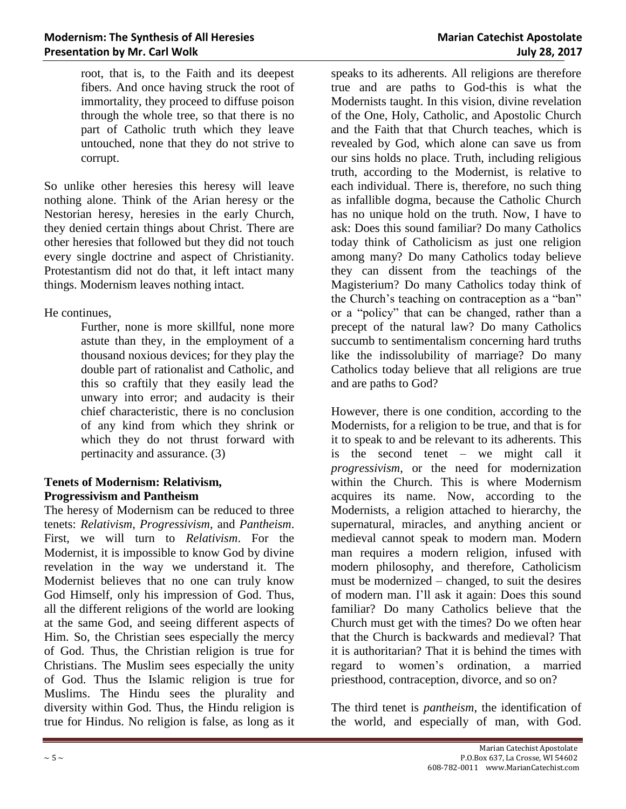root, that is, to the Faith and its deepest fibers. And once having struck the root of immortality, they proceed to diffuse poison through the whole tree, so that there is no part of Catholic truth which they leave untouched, none that they do not strive to corrupt.

So unlike other heresies this heresy will leave nothing alone. Think of the Arian heresy or the Nestorian heresy, heresies in the early Church, they denied certain things about Christ. There are other heresies that followed but they did not touch every single doctrine and aspect of Christianity. Protestantism did not do that, it left intact many things. Modernism leaves nothing intact.

He continues,

Further, none is more skillful, none more astute than they, in the employment of a thousand noxious devices; for they play the double part of rationalist and Catholic, and this so craftily that they easily lead the unwary into error; and audacity is their chief characteristic, there is no conclusion of any kind from which they shrink or which they do not thrust forward with pertinacity and assurance. (3)

# **Tenets of Modernism: Relativism, Progressivism and Pantheism**

The heresy of Modernism can be reduced to three tenets: *Relativism, Progressivism*, and *Pantheism*. First, we will turn to *Relativism*. For the Modernist, it is impossible to know God by divine revelation in the way we understand it. The Modernist believes that no one can truly know God Himself, only his impression of God. Thus, all the different religions of the world are looking at the same God, and seeing different aspects of Him. So, the Christian sees especially the mercy of God. Thus, the Christian religion is true for Christians. The Muslim sees especially the unity of God. Thus the Islamic religion is true for Muslims. The Hindu sees the plurality and diversity within God. Thus, the Hindu religion is true for Hindus. No religion is false, as long as it speaks to its adherents. All religions are therefore true and are paths to God-this is what the Modernists taught. In this vision, divine revelation of the One, Holy, Catholic, and Apostolic Church and the Faith that that Church teaches, which is revealed by God, which alone can save us from our sins holds no place. Truth, including religious truth, according to the Modernist, is relative to each individual. There is, therefore, no such thing as infallible dogma, because the Catholic Church has no unique hold on the truth. Now, I have to ask: Does this sound familiar? Do many Catholics today think of Catholicism as just one religion among many? Do many Catholics today believe they can dissent from the teachings of the Magisterium? Do many Catholics today think of the Church's teaching on contraception as a "ban" or a "policy" that can be changed, rather than a precept of the natural law? Do many Catholics succumb to sentimentalism concerning hard truths like the indissolubility of marriage? Do many Catholics today believe that all religions are true and are paths to God?

However, there is one condition, according to the Modernists, for a religion to be true, and that is for it to speak to and be relevant to its adherents. This is the second tenet – we might call it *progressivism*, or the need for modernization within the Church. This is where Modernism acquires its name. Now, according to the Modernists, a religion attached to hierarchy, the supernatural, miracles, and anything ancient or medieval cannot speak to modern man. Modern man requires a modern religion, infused with modern philosophy, and therefore, Catholicism must be modernized – changed, to suit the desires of modern man. I'll ask it again: Does this sound familiar? Do many Catholics believe that the Church must get with the times? Do we often hear that the Church is backwards and medieval? That it is authoritarian? That it is behind the times with regard to women's ordination, a married priesthood, contraception, divorce, and so on?

The third tenet is *pantheism*, the identification of the world, and especially of man, with God.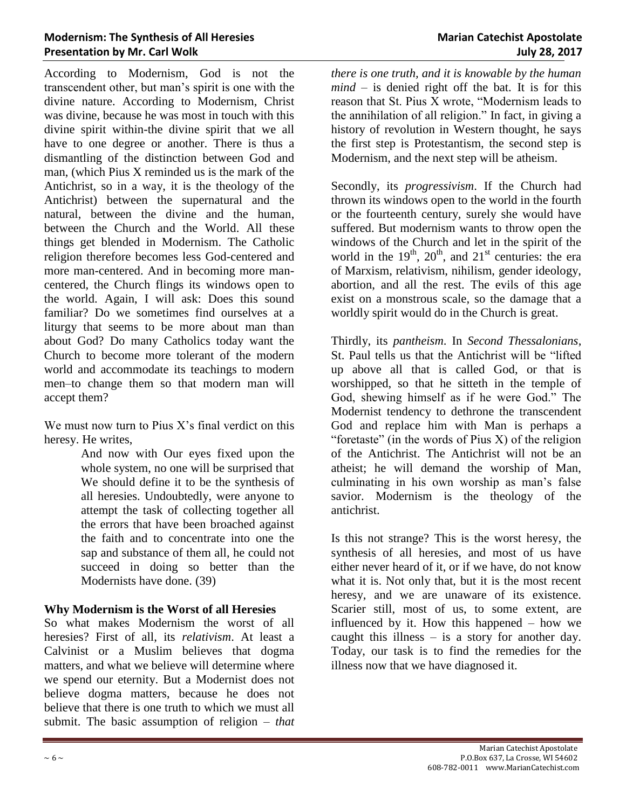#### **Modernism: The Synthesis of All Heresies <b>Marian Catechist Apostolate Marian Catechist Apostolate Presentation by Mr. Carl Wolk July 28, 2017**

According to Modernism, God is not the transcendent other, but man's spirit is one with the divine nature. According to Modernism, Christ was divine, because he was most in touch with this divine spirit within-the divine spirit that we all have to one degree or another. There is thus a dismantling of the distinction between God and man, (which Pius X reminded us is the mark of the Antichrist, so in a way, it is the theology of the Antichrist) between the supernatural and the natural, between the divine and the human, between the Church and the World. All these things get blended in Modernism. The Catholic religion therefore becomes less God-centered and more man-centered. And in becoming more mancentered, the Church flings its windows open to the world. Again, I will ask: Does this sound familiar? Do we sometimes find ourselves at a liturgy that seems to be more about man than about God? Do many Catholics today want the Church to become more tolerant of the modern world and accommodate its teachings to modern men–to change them so that modern man will accept them?

We must now turn to Pius  $X$ 's final verdict on this heresy. He writes,

> And now with Our eyes fixed upon the whole system, no one will be surprised that We should define it to be the synthesis of all heresies. Undoubtedly, were anyone to attempt the task of collecting together all the errors that have been broached against the faith and to concentrate into one the sap and substance of them all, he could not succeed in doing so better than the Modernists have done. (39)

# **Why Modernism is the Worst of all Heresies**

So what makes Modernism the worst of all heresies? First of all, its *relativism*. At least a Calvinist or a Muslim believes that dogma matters, and what we believe will determine where we spend our eternity. But a Modernist does not believe dogma matters, because he does not believe that there is one truth to which we must all submit. The basic assumption of religion – *that* 

*there is one truth, and it is knowable by the human mind* – is denied right off the bat. It is for this reason that St. Pius X wrote, "Modernism leads to the annihilation of all religion." In fact, in giving a history of revolution in Western thought, he says the first step is Protestantism, the second step is Modernism, and the next step will be atheism.

Secondly, its *progressivism*. If the Church had thrown its windows open to the world in the fourth or the fourteenth century, surely she would have suffered. But modernism wants to throw open the windows of the Church and let in the spirit of the world in the  $19<sup>th</sup>$ ,  $20<sup>th</sup>$ , and  $21<sup>st</sup>$  centuries: the era of Marxism, relativism, nihilism, gender ideology, abortion, and all the rest. The evils of this age exist on a monstrous scale, so the damage that a worldly spirit would do in the Church is great.

Thirdly, its *pantheism*. In *Second Thessalonians*, St. Paul tells us that the Antichrist will be "lifted up above all that is called God, or that is worshipped, so that he sitteth in the temple of God, shewing himself as if he were God." The Modernist tendency to dethrone the transcendent God and replace him with Man is perhaps a "foretaste" (in the words of Pius  $X$ ) of the religion of the Antichrist. The Antichrist will not be an atheist; he will demand the worship of Man, culminating in his own worship as man's false savior. Modernism is the theology of the antichrist.

Is this not strange? This is the worst heresy, the synthesis of all heresies, and most of us have either never heard of it, or if we have, do not know what it is. Not only that, but it is the most recent heresy, and we are unaware of its existence. Scarier still, most of us, to some extent, are influenced by it. How this happened – how we caught this illness – is a story for another day. Today, our task is to find the remedies for the illness now that we have diagnosed it.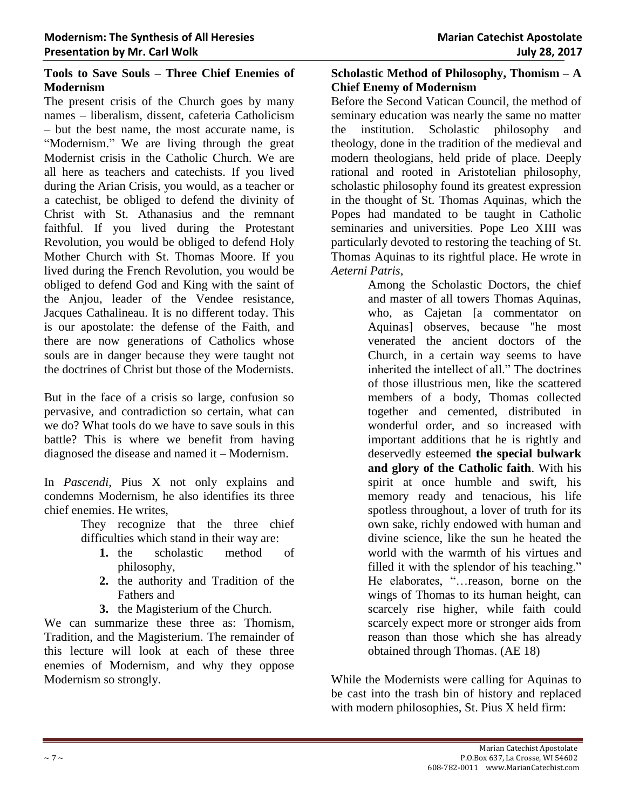#### **Tools to Save Souls – Three Chief Enemies of Modernism**

The present crisis of the Church goes by many names – liberalism, dissent, cafeteria Catholicism – but the best name, the most accurate name, is "Modernism." We are living through the great Modernist crisis in the Catholic Church. We are all here as teachers and catechists. If you lived during the Arian Crisis, you would, as a teacher or a catechist, be obliged to defend the divinity of Christ with St. Athanasius and the remnant faithful. If you lived during the Protestant Revolution, you would be obliged to defend Holy Mother Church with St. Thomas Moore. If you lived during the French Revolution, you would be obliged to defend God and King with the saint of the Anjou, leader of the Vendee resistance, Jacques Cathalineau. It is no different today. This is our apostolate: the defense of the Faith, and there are now generations of Catholics whose souls are in danger because they were taught not the doctrines of Christ but those of the Modernists.

But in the face of a crisis so large, confusion so pervasive, and contradiction so certain, what can we do? What tools do we have to save souls in this battle? This is where we benefit from having diagnosed the disease and named it – Modernism.

In *Pascendi*, Pius X not only explains and condemns Modernism, he also identifies its three chief enemies. He writes,

> They recognize that the three chief difficulties which stand in their way are:

- **1.** the scholastic method of philosophy,
- **2.** the authority and Tradition of the Fathers and

**3.** the Magisterium of the Church.

We can summarize these three as: Thomism, Tradition, and the Magisterium. The remainder of this lecture will look at each of these three enemies of Modernism, and why they oppose Modernism so strongly.

# **Scholastic Method of Philosophy, Thomism – A Chief Enemy of Modernism**

Before the Second Vatican Council, the method of seminary education was nearly the same no matter the institution. Scholastic philosophy and theology, done in the tradition of the medieval and modern theologians, held pride of place. Deeply rational and rooted in Aristotelian philosophy, scholastic philosophy found its greatest expression in the thought of St. Thomas Aquinas, which the Popes had mandated to be taught in Catholic seminaries and universities. Pope Leo XIII was particularly devoted to restoring the teaching of St. Thomas Aquinas to its rightful place. He wrote in *Aeterni Patris*,

> Among the Scholastic Doctors, the chief and master of all towers Thomas Aquinas, who, as Cajetan [a commentator on Aquinas] observes, because "he most venerated the ancient doctors of the Church, in a certain way seems to have inherited the intellect of all." The doctrines of those illustrious men, like the scattered members of a body, Thomas collected together and cemented, distributed in wonderful order, and so increased with important additions that he is rightly and deservedly esteemed **the special bulwark and glory of the Catholic faith**. With his spirit at once humble and swift, his memory ready and tenacious, his life spotless throughout, a lover of truth for its own sake, richly endowed with human and divine science, like the sun he heated the world with the warmth of his virtues and filled it with the splendor of his teaching." He elaborates, "…reason, borne on the wings of Thomas to its human height, can scarcely rise higher, while faith could scarcely expect more or stronger aids from reason than those which she has already obtained through Thomas. (AE 18)

While the Modernists were calling for Aquinas to be cast into the trash bin of history and replaced with modern philosophies, St. Pius X held firm: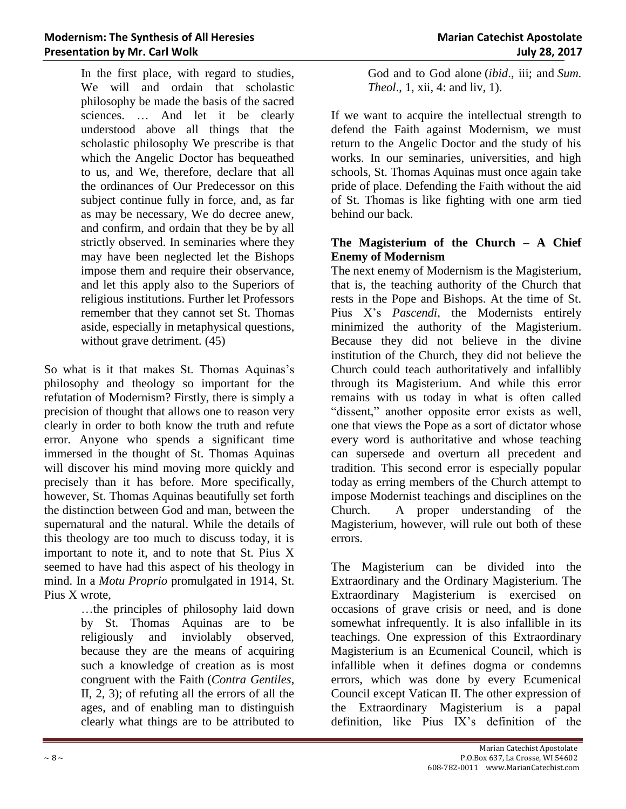In the first place, with regard to studies, We will and ordain that scholastic philosophy be made the basis of the sacred sciences. … And let it be clearly understood above all things that the scholastic philosophy We prescribe is that which the Angelic Doctor has bequeathed to us, and We, therefore, declare that all the ordinances of Our Predecessor on this subject continue fully in force, and, as far as may be necessary, We do decree anew, and confirm, and ordain that they be by all strictly observed. In seminaries where they may have been neglected let the Bishops impose them and require their observance, and let this apply also to the Superiors of religious institutions. Further let Professors remember that they cannot set St. Thomas aside, especially in metaphysical questions, without grave detriment.  $(45)$ 

So what is it that makes St. Thomas Aquinas's philosophy and theology so important for the refutation of Modernism? Firstly, there is simply a precision of thought that allows one to reason very clearly in order to both know the truth and refute error. Anyone who spends a significant time immersed in the thought of St. Thomas Aquinas will discover his mind moving more quickly and precisely than it has before. More specifically, however, St. Thomas Aquinas beautifully set forth the distinction between God and man, between the supernatural and the natural. While the details of this theology are too much to discuss today, it is important to note it, and to note that St. Pius X seemed to have had this aspect of his theology in mind. In a *Motu Proprio* promulgated in 1914, St. Pius X wrote,

> …the principles of philosophy laid down by St. Thomas Aquinas are to be religiously and inviolably observed, because they are the means of acquiring such a knowledge of creation as is most congruent with the Faith (*Contra Gentiles*, II, 2, 3); of refuting all the errors of all the ages, and of enabling man to distinguish clearly what things are to be attributed to

God and to God alone (*ibid*., iii; and *Sum. Theol*., 1, xii, 4: and liv, 1).

If we want to acquire the intellectual strength to defend the Faith against Modernism, we must return to the Angelic Doctor and the study of his works. In our seminaries, universities, and high schools, St. Thomas Aquinas must once again take pride of place. Defending the Faith without the aid of St. Thomas is like fighting with one arm tied behind our back.

## **The Magisterium of the Church – A Chief Enemy of Modernism**

The next enemy of Modernism is the Magisterium, that is, the teaching authority of the Church that rests in the Pope and Bishops. At the time of St. Pius X's *Pascendi*, the Modernists entirely minimized the authority of the Magisterium. Because they did not believe in the divine institution of the Church, they did not believe the Church could teach authoritatively and infallibly through its Magisterium. And while this error remains with us today in what is often called "dissent," another opposite error exists as well, one that views the Pope as a sort of dictator whose every word is authoritative and whose teaching can supersede and overturn all precedent and tradition. This second error is especially popular today as erring members of the Church attempt to impose Modernist teachings and disciplines on the Church. A proper understanding of the Magisterium, however, will rule out both of these errors.

The Magisterium can be divided into the Extraordinary and the Ordinary Magisterium. The Extraordinary Magisterium is exercised on occasions of grave crisis or need, and is done somewhat infrequently. It is also infallible in its teachings. One expression of this Extraordinary Magisterium is an Ecumenical Council, which is infallible when it defines dogma or condemns errors, which was done by every Ecumenical Council except Vatican II. The other expression of the Extraordinary Magisterium is a papal definition, like Pius IX's definition of the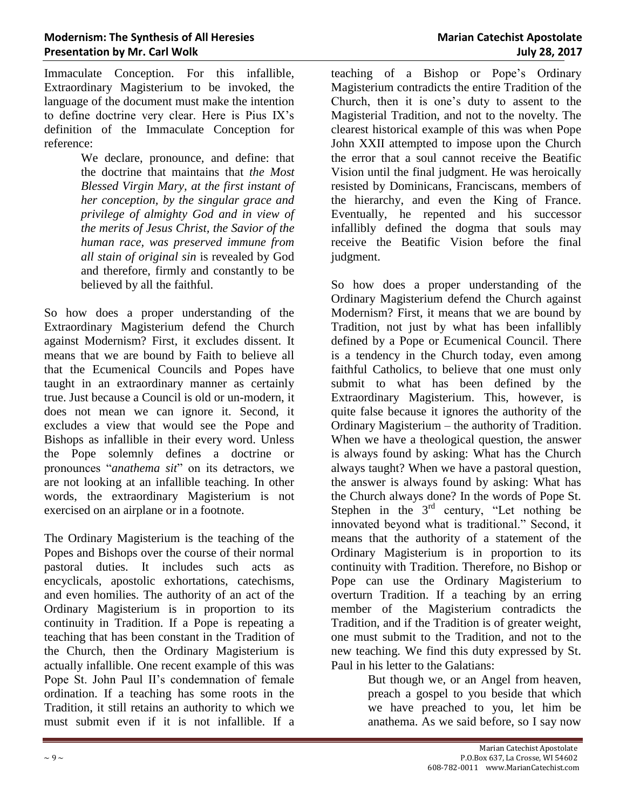Immaculate Conception. For this infallible, Extraordinary Magisterium to be invoked, the language of the document must make the intention to define doctrine very clear. Here is Pius IX's definition of the Immaculate Conception for reference:

> We declare, pronounce, and define: that the doctrine that maintains that *the Most Blessed Virgin Mary, at the first instant of her conception, by the singular grace and privilege of almighty God and in view of the merits of Jesus Christ, the Savior of the human race, was preserved immune from all stain of original sin* is revealed by God and therefore, firmly and constantly to be believed by all the faithful.

So how does a proper understanding of the Extraordinary Magisterium defend the Church against Modernism? First, it excludes dissent. It means that we are bound by Faith to believe all that the Ecumenical Councils and Popes have taught in an extraordinary manner as certainly true. Just because a Council is old or un-modern, it does not mean we can ignore it. Second, it excludes a view that would see the Pope and Bishops as infallible in their every word. Unless the Pope solemnly defines a doctrine or pronounces "*anathema sit*" on its detractors, we are not looking at an infallible teaching. In other words, the extraordinary Magisterium is not exercised on an airplane or in a footnote.

The Ordinary Magisterium is the teaching of the Popes and Bishops over the course of their normal pastoral duties. It includes such acts as encyclicals, apostolic exhortations, catechisms, and even homilies. The authority of an act of the Ordinary Magisterium is in proportion to its continuity in Tradition. If a Pope is repeating a teaching that has been constant in the Tradition of the Church, then the Ordinary Magisterium is actually infallible. One recent example of this was Pope St. John Paul II's condemnation of female ordination. If a teaching has some roots in the Tradition, it still retains an authority to which we must submit even if it is not infallible. If a

teaching of a Bishop or Pope's Ordinary Magisterium contradicts the entire Tradition of the Church, then it is one's duty to assent to the Magisterial Tradition, and not to the novelty. The clearest historical example of this was when Pope John XXII attempted to impose upon the Church the error that a soul cannot receive the Beatific Vision until the final judgment. He was heroically resisted by Dominicans, Franciscans, members of the hierarchy, and even the King of France. Eventually, he repented and his successor infallibly defined the dogma that souls may receive the Beatific Vision before the final judgment.

So how does a proper understanding of the Ordinary Magisterium defend the Church against Modernism? First, it means that we are bound by Tradition, not just by what has been infallibly defined by a Pope or Ecumenical Council. There is a tendency in the Church today, even among faithful Catholics, to believe that one must only submit to what has been defined by the Extraordinary Magisterium. This, however, is quite false because it ignores the authority of the Ordinary Magisterium – the authority of Tradition. When we have a theological question, the answer is always found by asking: What has the Church always taught? When we have a pastoral question, the answer is always found by asking: What has the Church always done? In the words of Pope St. Stephen in the  $3<sup>rd</sup>$  century, "Let nothing be innovated beyond what is traditional." Second, it means that the authority of a statement of the Ordinary Magisterium is in proportion to its continuity with Tradition. Therefore, no Bishop or Pope can use the Ordinary Magisterium to overturn Tradition. If a teaching by an erring member of the Magisterium contradicts the Tradition, and if the Tradition is of greater weight, one must submit to the Tradition, and not to the new teaching. We find this duty expressed by St. Paul in his letter to the Galatians:

But though we, or an Angel from heaven, preach a gospel to you beside that which we have preached to you, let him be anathema. As we said before, so I say now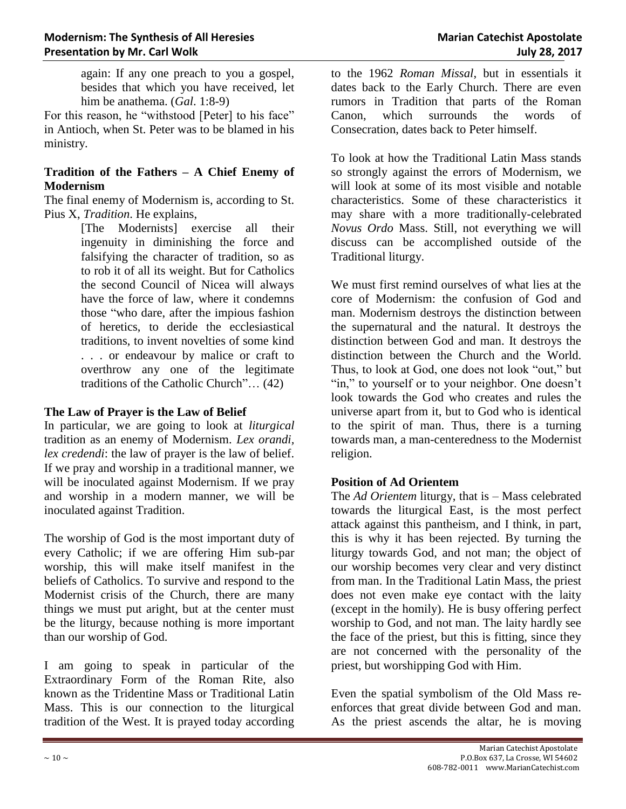again: If any one preach to you a gospel, besides that which you have received, let him be anathema. (*Gal*. 1:8-9)

For this reason, he "withstood [Peter] to his face" in Antioch, when St. Peter was to be blamed in his ministry.

# **Tradition of the Fathers – A Chief Enemy of Modernism**

The final enemy of Modernism is, according to St. Pius X, *Tradition*. He explains,

[The Modernists] exercise all their ingenuity in diminishing the force and falsifying the character of tradition, so as to rob it of all its weight. But for Catholics the second Council of Nicea will always have the force of law, where it condemns those "who dare, after the impious fashion of heretics, to deride the ecclesiastical traditions, to invent novelties of some kind . . . or endeavour by malice or craft to overthrow any one of the legitimate traditions of the Catholic Church"… (42)

#### **The Law of Prayer is the Law of Belief**

In particular, we are going to look at *liturgical*  tradition as an enemy of Modernism. *Lex orandi, lex credendi*: the law of prayer is the law of belief. If we pray and worship in a traditional manner, we will be inoculated against Modernism. If we pray and worship in a modern manner, we will be inoculated against Tradition.

The worship of God is the most important duty of every Catholic; if we are offering Him sub-par worship, this will make itself manifest in the beliefs of Catholics. To survive and respond to the Modernist crisis of the Church, there are many things we must put aright, but at the center must be the liturgy, because nothing is more important than our worship of God.

I am going to speak in particular of the Extraordinary Form of the Roman Rite, also known as the Tridentine Mass or Traditional Latin Mass. This is our connection to the liturgical tradition of the West. It is prayed today according to the 1962 *Roman Missal*, but in essentials it dates back to the Early Church. There are even rumors in Tradition that parts of the Roman Canon, which surrounds the words of Consecration, dates back to Peter himself.

To look at how the Traditional Latin Mass stands so strongly against the errors of Modernism, we will look at some of its most visible and notable characteristics. Some of these characteristics it may share with a more traditionally-celebrated *Novus Ordo* Mass. Still, not everything we will discuss can be accomplished outside of the Traditional liturgy.

We must first remind ourselves of what lies at the core of Modernism: the confusion of God and man. Modernism destroys the distinction between the supernatural and the natural. It destroys the distinction between God and man. It destroys the distinction between the Church and the World. Thus, to look at God, one does not look "out," but "in," to yourself or to your neighbor. One doesn't look towards the God who creates and rules the universe apart from it, but to God who is identical to the spirit of man. Thus, there is a turning towards man, a man-centeredness to the Modernist religion.

# **Position of Ad Orientem**

The *Ad Orientem* liturgy, that is – Mass celebrated towards the liturgical East, is the most perfect attack against this pantheism, and I think, in part, this is why it has been rejected. By turning the liturgy towards God, and not man; the object of our worship becomes very clear and very distinct from man. In the Traditional Latin Mass, the priest does not even make eye contact with the laity (except in the homily). He is busy offering perfect worship to God, and not man. The laity hardly see the face of the priest, but this is fitting, since they are not concerned with the personality of the priest, but worshipping God with Him.

Even the spatial symbolism of the Old Mass reenforces that great divide between God and man. As the priest ascends the altar, he is moving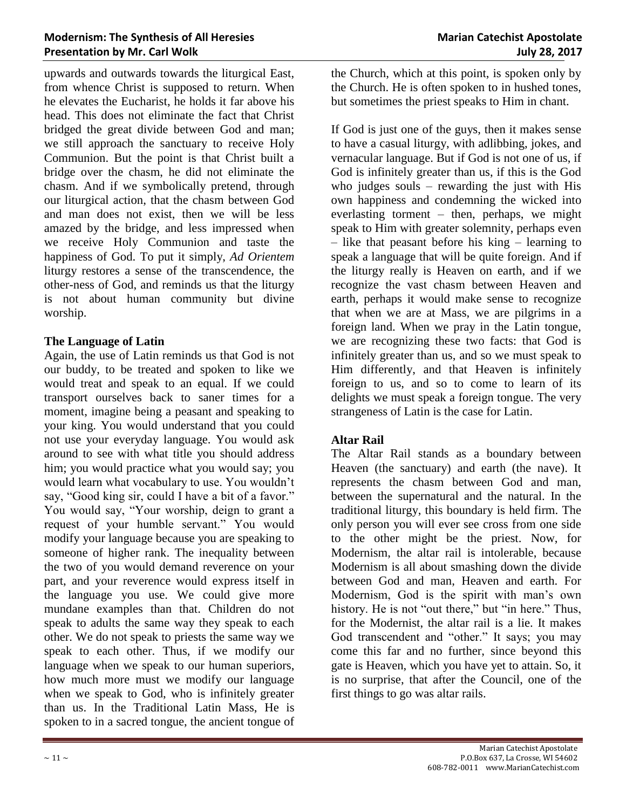upwards and outwards towards the liturgical East, from whence Christ is supposed to return. When he elevates the Eucharist, he holds it far above his head. This does not eliminate the fact that Christ bridged the great divide between God and man; we still approach the sanctuary to receive Holy Communion. But the point is that Christ built a bridge over the chasm, he did not eliminate the chasm. And if we symbolically pretend, through our liturgical action, that the chasm between God and man does not exist, then we will be less amazed by the bridge, and less impressed when we receive Holy Communion and taste the happiness of God. To put it simply, *Ad Orientem* liturgy restores a sense of the transcendence, the other-ness of God, and reminds us that the liturgy is not about human community but divine worship.

#### **The Language of Latin**

Again, the use of Latin reminds us that God is not our buddy, to be treated and spoken to like we would treat and speak to an equal. If we could transport ourselves back to saner times for a moment, imagine being a peasant and speaking to your king. You would understand that you could not use your everyday language. You would ask around to see with what title you should address him; you would practice what you would say; you would learn what vocabulary to use. You wouldn't say, "Good king sir, could I have a bit of a favor." You would say, "Your worship, deign to grant a request of your humble servant." You would modify your language because you are speaking to someone of higher rank. The inequality between the two of you would demand reverence on your part, and your reverence would express itself in the language you use. We could give more mundane examples than that. Children do not speak to adults the same way they speak to each other. We do not speak to priests the same way we speak to each other. Thus, if we modify our language when we speak to our human superiors, how much more must we modify our language when we speak to God, who is infinitely greater than us. In the Traditional Latin Mass, He is spoken to in a sacred tongue, the ancient tongue of

the Church, which at this point, is spoken only by the Church. He is often spoken to in hushed tones, but sometimes the priest speaks to Him in chant.

If God is just one of the guys, then it makes sense to have a casual liturgy, with adlibbing, jokes, and vernacular language. But if God is not one of us, if God is infinitely greater than us, if this is the God who judges souls – rewarding the just with His own happiness and condemning the wicked into everlasting torment – then, perhaps, we might speak to Him with greater solemnity, perhaps even – like that peasant before his king – learning to speak a language that will be quite foreign. And if the liturgy really is Heaven on earth, and if we recognize the vast chasm between Heaven and earth, perhaps it would make sense to recognize that when we are at Mass, we are pilgrims in a foreign land. When we pray in the Latin tongue, we are recognizing these two facts: that God is infinitely greater than us, and so we must speak to Him differently, and that Heaven is infinitely foreign to us, and so to come to learn of its delights we must speak a foreign tongue. The very strangeness of Latin is the case for Latin.

#### **Altar Rail**

The Altar Rail stands as a boundary between Heaven (the sanctuary) and earth (the nave). It represents the chasm between God and man, between the supernatural and the natural. In the traditional liturgy, this boundary is held firm. The only person you will ever see cross from one side to the other might be the priest. Now, for Modernism, the altar rail is intolerable, because Modernism is all about smashing down the divide between God and man, Heaven and earth. For Modernism, God is the spirit with man's own history. He is not "out there," but "in here." Thus, for the Modernist, the altar rail is a lie. It makes God transcendent and "other." It says; you may come this far and no further, since beyond this gate is Heaven, which you have yet to attain. So, it is no surprise, that after the Council, one of the first things to go was altar rails.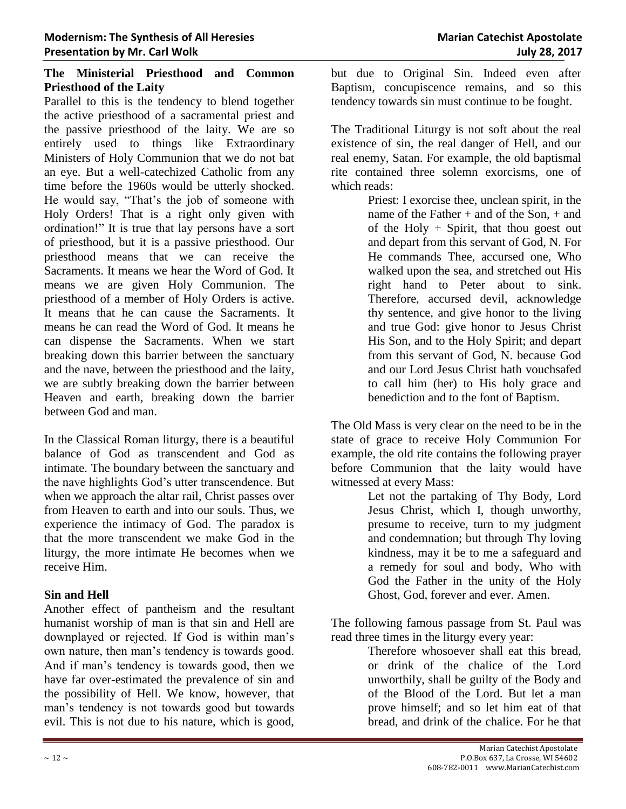# **The Ministerial Priesthood and Common Priesthood of the Laity**

Parallel to this is the tendency to blend together the active priesthood of a sacramental priest and the passive priesthood of the laity. We are so entirely used to things like Extraordinary Ministers of Holy Communion that we do not bat an eye. But a well-catechized Catholic from any time before the 1960s would be utterly shocked. He would say, "That's the job of someone with Holy Orders! That is a right only given with ordination!" It is true that lay persons have a sort of priesthood, but it is a passive priesthood. Our priesthood means that we can receive the Sacraments. It means we hear the Word of God. It means we are given Holy Communion. The priesthood of a member of Holy Orders is active. It means that he can cause the Sacraments. It means he can read the Word of God. It means he can dispense the Sacraments. When we start breaking down this barrier between the sanctuary and the nave, between the priesthood and the laity, we are subtly breaking down the barrier between Heaven and earth, breaking down the barrier between God and man.

In the Classical Roman liturgy, there is a beautiful balance of God as transcendent and God as intimate. The boundary between the sanctuary and the nave highlights God's utter transcendence. But when we approach the altar rail, Christ passes over from Heaven to earth and into our souls. Thus, we experience the intimacy of God. The paradox is that the more transcendent we make God in the liturgy, the more intimate He becomes when we receive Him.

#### **Sin and Hell**

Another effect of pantheism and the resultant humanist worship of man is that sin and Hell are downplayed or rejected. If God is within man's own nature, then man's tendency is towards good. And if man's tendency is towards good, then we have far over-estimated the prevalence of sin and the possibility of Hell. We know, however, that man's tendency is not towards good but towards evil. This is not due to his nature, which is good,

but due to Original Sin. Indeed even after Baptism, concupiscence remains, and so this tendency towards sin must continue to be fought.

The Traditional Liturgy is not soft about the real existence of sin, the real danger of Hell, and our real enemy, Satan. For example, the old baptismal rite contained three solemn exorcisms, one of which reads:

Priest: I exorcise thee, unclean spirit, in the name of the Father  $+$  and of the Son,  $+$  and of the Holy  $+$  Spirit, that thou goest out and depart from this servant of God, N. For He commands Thee, accursed one, Who walked upon the sea, and stretched out His right hand to Peter about to sink. Therefore, accursed devil, acknowledge thy sentence, and give honor to the living and true God: give honor to Jesus Christ His Son, and to the Holy Spirit; and depart from this servant of God, N. because God and our Lord Jesus Christ hath vouchsafed to call him (her) to His holy grace and benediction and to the font of Baptism.

The Old Mass is very clear on the need to be in the state of grace to receive Holy Communion For example, the old rite contains the following prayer before Communion that the laity would have witnessed at every Mass:

> Let not the partaking of Thy Body, Lord Jesus Christ, which I, though unworthy, presume to receive, turn to my judgment and condemnation; but through Thy loving kindness, may it be to me a safeguard and a remedy for soul and body, Who with God the Father in the unity of the Holy Ghost, God, forever and ever. Amen.

The following famous passage from St. Paul was read three times in the liturgy every year:

Therefore whosoever shall eat this bread, or drink of the chalice of the Lord unworthily, shall be guilty of the Body and of the Blood of the Lord. But let a man prove himself; and so let him eat of that bread, and drink of the chalice. For he that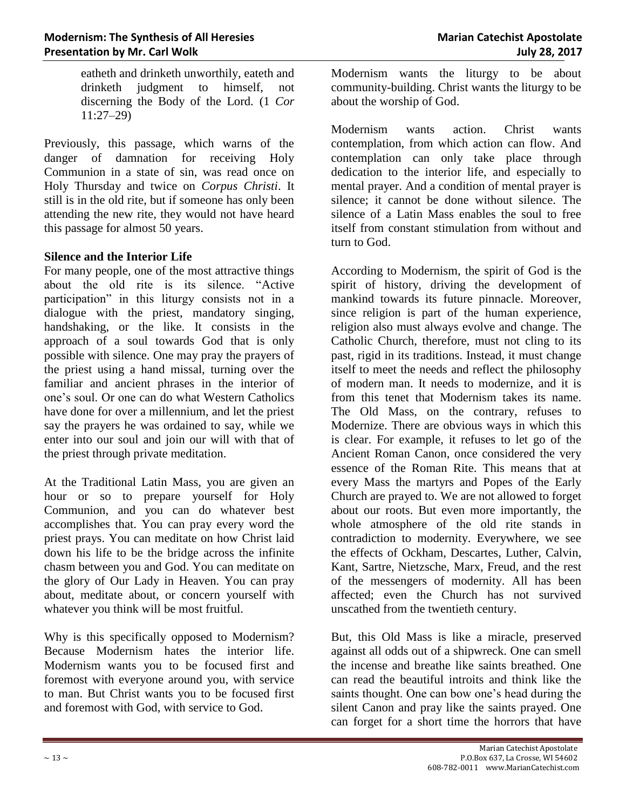eatheth and drinketh unworthily, eateth and drinketh judgment to himself, not discerning the Body of the Lord. (1 *Cor* 11:27–29)

Previously, this passage, which warns of the danger of damnation for receiving Holy Communion in a state of sin, was read once on Holy Thursday and twice on *Corpus Christi*. It still is in the old rite, but if someone has only been attending the new rite, they would not have heard this passage for almost 50 years.

#### **Silence and the Interior Life**

For many people, one of the most attractive things about the old rite is its silence. "Active participation" in this liturgy consists not in a dialogue with the priest, mandatory singing, handshaking, or the like. It consists in the approach of a soul towards God that is only possible with silence. One may pray the prayers of the priest using a hand missal, turning over the familiar and ancient phrases in the interior of one's soul. Or one can do what Western Catholics have done for over a millennium, and let the priest say the prayers he was ordained to say, while we enter into our soul and join our will with that of the priest through private meditation.

At the Traditional Latin Mass, you are given an hour or so to prepare yourself for Holy Communion, and you can do whatever best accomplishes that. You can pray every word the priest prays. You can meditate on how Christ laid down his life to be the bridge across the infinite chasm between you and God. You can meditate on the glory of Our Lady in Heaven. You can pray about, meditate about, or concern yourself with whatever you think will be most fruitful.

Why is this specifically opposed to Modernism? Because Modernism hates the interior life. Modernism wants you to be focused first and foremost with everyone around you, with service to man. But Christ wants you to be focused first and foremost with God, with service to God.

Modernism wants the liturgy to be about community-building. Christ wants the liturgy to be about the worship of God.

Modernism wants action. Christ wants contemplation, from which action can flow. And contemplation can only take place through dedication to the interior life, and especially to mental prayer. And a condition of mental prayer is silence; it cannot be done without silence. The silence of a Latin Mass enables the soul to free itself from constant stimulation from without and turn to God.

According to Modernism, the spirit of God is the spirit of history, driving the development of mankind towards its future pinnacle. Moreover, since religion is part of the human experience, religion also must always evolve and change. The Catholic Church, therefore, must not cling to its past, rigid in its traditions. Instead, it must change itself to meet the needs and reflect the philosophy of modern man. It needs to modernize, and it is from this tenet that Modernism takes its name. The Old Mass, on the contrary, refuses to Modernize. There are obvious ways in which this is clear. For example, it refuses to let go of the Ancient Roman Canon, once considered the very essence of the Roman Rite. This means that at every Mass the martyrs and Popes of the Early Church are prayed to. We are not allowed to forget about our roots. But even more importantly, the whole atmosphere of the old rite stands in contradiction to modernity. Everywhere, we see the effects of Ockham, Descartes, Luther, Calvin, Kant, Sartre, Nietzsche, Marx, Freud, and the rest of the messengers of modernity. All has been affected; even the Church has not survived unscathed from the twentieth century.

But, this Old Mass is like a miracle, preserved against all odds out of a shipwreck. One can smell the incense and breathe like saints breathed. One can read the beautiful introits and think like the saints thought. One can bow one's head during the silent Canon and pray like the saints prayed. One can forget for a short time the horrors that have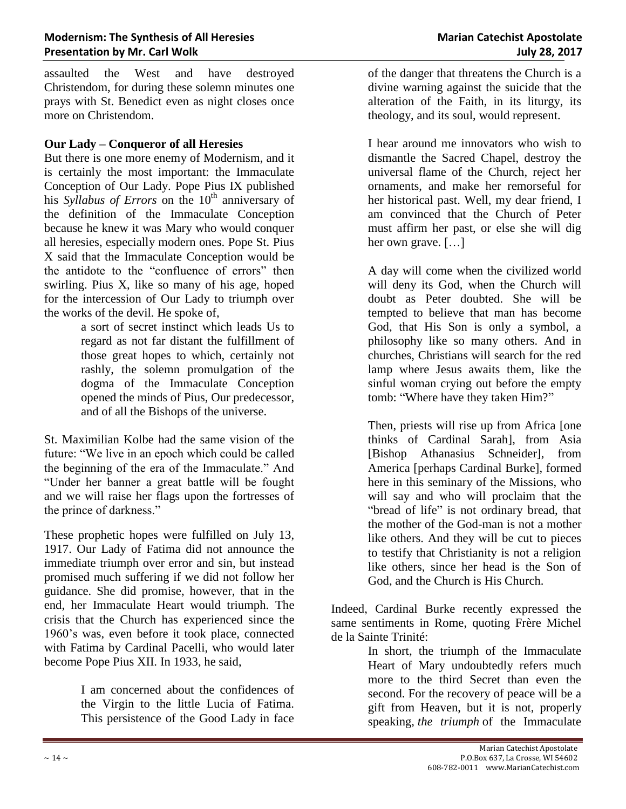assaulted the West and have destroyed Christendom, for during these solemn minutes one prays with St. Benedict even as night closes once more on Christendom.

## **Our Lady – Conqueror of all Heresies**

But there is one more enemy of Modernism, and it is certainly the most important: the Immaculate Conception of Our Lady. Pope Pius IX published his *Syllabus of Errors* on the 10<sup>th</sup> anniversary of the definition of the Immaculate Conception because he knew it was Mary who would conquer all heresies, especially modern ones. Pope St. Pius X said that the Immaculate Conception would be the antidote to the "confluence of errors" then swirling. Pius X, like so many of his age, hoped for the intercession of Our Lady to triumph over the works of the devil. He spoke of,

a sort of secret instinct which leads Us to regard as not far distant the fulfillment of those great hopes to which, certainly not rashly, the solemn promulgation of the dogma of the Immaculate Conception opened the minds of Pius, Our predecessor, and of all the Bishops of the universe.

St. Maximilian Kolbe had the same vision of the future: "We live in an epoch which could be called the beginning of the era of the Immaculate." And "Under her banner a great battle will be fought and we will raise her flags upon the fortresses of the prince of darkness."

These prophetic hopes were fulfilled on July 13, 1917. Our Lady of Fatima did not announce the immediate triumph over error and sin, but instead promised much suffering if we did not follow her guidance. She did promise, however, that in the end, her Immaculate Heart would triumph. The crisis that the Church has experienced since the 1960's was, even before it took place, connected with Fatima by Cardinal Pacelli, who would later become Pope Pius XII. In 1933, he said,

> I am concerned about the confidences of the Virgin to the little Lucia of Fatima. This persistence of the Good Lady in face

of the danger that threatens the Church is a divine warning against the suicide that the alteration of the Faith, in its liturgy, its theology, and its soul, would represent.

I hear around me innovators who wish to dismantle the Sacred Chapel, destroy the universal flame of the Church, reject her ornaments, and make her remorseful for her historical past. Well, my dear friend, I am convinced that the Church of Peter must affirm her past, or else she will dig her own grave. […]

A day will come when the civilized world will deny its God, when the Church will doubt as Peter doubted. She will be tempted to believe that man has become God, that His Son is only a symbol, a philosophy like so many others. And in churches, Christians will search for the red lamp where Jesus awaits them, like the sinful woman crying out before the empty tomb: "Where have they taken Him?"

Then, priests will rise up from Africa [one thinks of Cardinal Sarah], from Asia [Bishop Athanasius Schneider], from America [perhaps Cardinal Burke], formed here in this seminary of the Missions, who will say and who will proclaim that the "bread of life" is not ordinary bread, that the mother of the God-man is not a mother like others. And they will be cut to pieces to testify that Christianity is not a religion like others, since her head is the Son of God, and the Church is His Church.

Indeed, Cardinal Burke recently expressed the same sentiments in Rome, quoting Frère Michel de la Sainte Trinité:

> In short, the triumph of the Immaculate Heart of Mary undoubtedly refers much more to the third Secret than even the second. For the recovery of peace will be a gift from Heaven, but it is not, properly speaking, *the triumph* of the Immaculate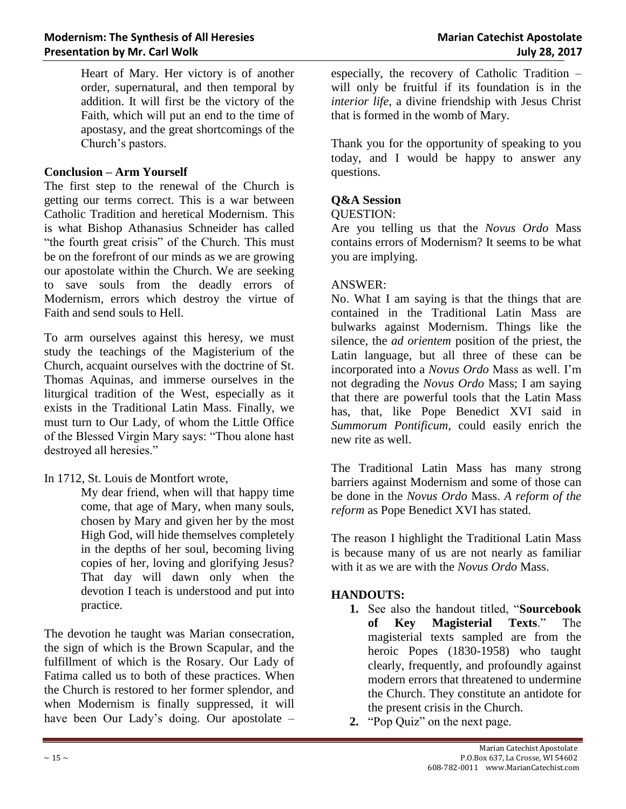Heart of Mary. Her victory is of another order, supernatural, and then temporal by addition. It will first be the victory of the Faith, which will put an end to the time of apostasy, and the great shortcomings of the Church's pastors.

#### **Conclusion – Arm Yourself**

The first step to the renewal of the Church is getting our terms correct. This is a war between Catholic Tradition and heretical Modernism. This is what Bishop Athanasius Schneider has called "the fourth great crisis" of the Church. This must be on the forefront of our minds as we are growing our apostolate within the Church. We are seeking to save souls from the deadly errors of Modernism, errors which destroy the virtue of Faith and send souls to Hell.

To arm ourselves against this heresy, we must study the teachings of the Magisterium of the Church, acquaint ourselves with the doctrine of St. Thomas Aquinas, and immerse ourselves in the liturgical tradition of the West, especially as it exists in the Traditional Latin Mass. Finally, we must turn to Our Lady, of whom the Little Office of the Blessed Virgin Mary says: "Thou alone hast destroyed all heresies."

In 1712, St. Louis de Montfort wrote,

My dear friend, when will that happy time come, that age of Mary, when many souls, chosen by Mary and given her by the most High God, will hide themselves completely in the depths of her soul, becoming living copies of her, loving and glorifying Jesus? That day will dawn only when the devotion I teach is understood and put into practice.

The devotion he taught was Marian consecration, the sign of which is the Brown Scapular, and the fulfillment of which is the Rosary. Our Lady of Fatima called us to both of these practices. When the Church is restored to her former splendor, and when Modernism is finally suppressed, it will have been Our Lady's doing. Our apostolate –

especially, the recovery of Catholic Tradition – will only be fruitful if its foundation is in the *interior life*, a divine friendship with Jesus Christ that is formed in the womb of Mary.

Thank you for the opportunity of speaking to you today, and I would be happy to answer any questions.

#### **Q&A Session**

#### QUESTION:

Are you telling us that the *Novus Ordo* Mass contains errors of Modernism? It seems to be what you are implying.

#### ANSWER:

No. What I am saying is that the things that are contained in the Traditional Latin Mass are bulwarks against Modernism. Things like the silence, the *ad orientem* position of the priest, the Latin language, but all three of these can be incorporated into a *Novus Ordo* Mass as well. I'm not degrading the *Novus Ordo* Mass; I am saying that there are powerful tools that the Latin Mass has, that, like Pope Benedict XVI said in *Summorum Pontificum,* could easily enrich the new rite as well.

The Traditional Latin Mass has many strong barriers against Modernism and some of those can be done in the *Novus Ordo* Mass. *A reform of the reform* as Pope Benedict XVI has stated.

The reason I highlight the Traditional Latin Mass is because many of us are not nearly as familiar with it as we are with the *Novus Ordo* Mass.

#### **HANDOUTS:**

- **1.** See also the handout titled, "**Sourcebook of Key Magisterial Texts**." The magisterial texts sampled are from the heroic Popes (1830-1958) who taught clearly, frequently, and profoundly against modern errors that threatened to undermine the Church. They constitute an antidote for the present crisis in the Church.
- **2.** "Pop Quiz" on the next page.